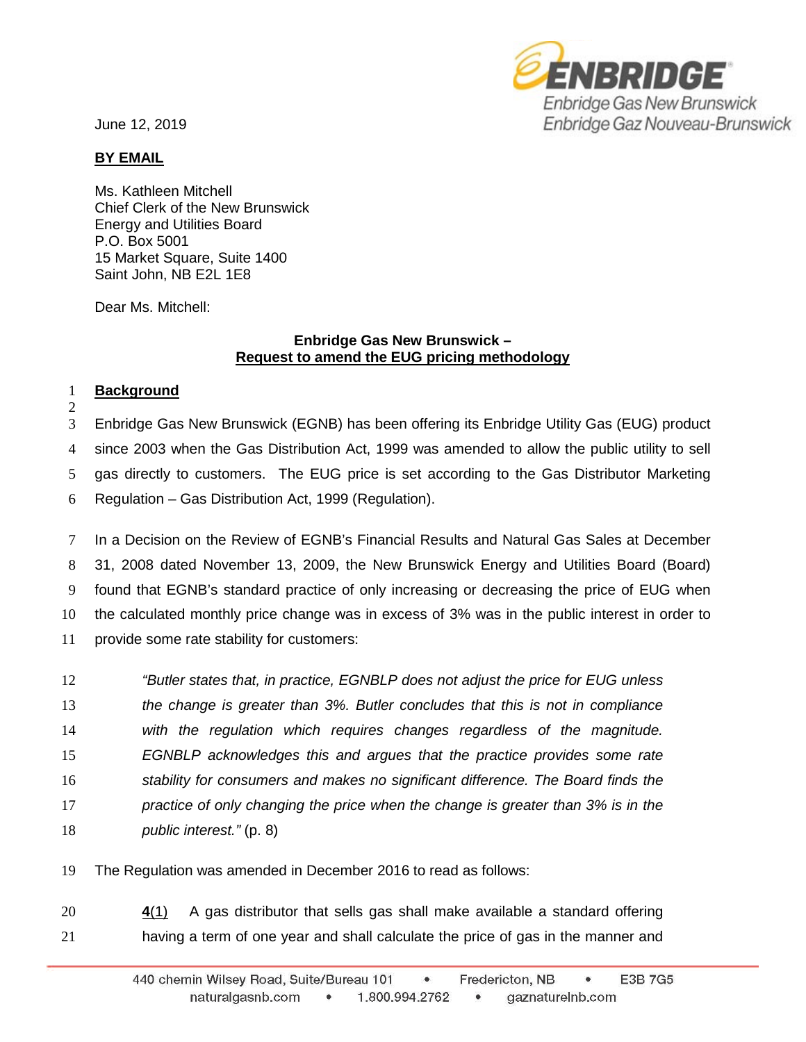June 12, 2019



## **BY EMAIL**

Ms. Kathleen Mitchell Chief Clerk of the New Brunswick Energy and Utilities Board P.O. Box 5001 15 Market Square, Suite 1400 Saint John, NB E2L 1E8

Dear Ms. Mitchell:

## **Enbridge Gas New Brunswick – Request to amend the EUG pricing methodology**

## 1 **Background**

2

 Enbridge Gas New Brunswick (EGNB) has been offering its Enbridge Utility Gas (EUG) product since 2003 when the Gas Distribution Act, 1999 was amended to allow the public utility to sell gas directly to customers. The EUG price is set according to the Gas Distributor Marketing Regulation – Gas Distribution Act, 1999 (Regulation).

 In a Decision on the Review of EGNB's Financial Results and Natural Gas Sales at December 31, 2008 dated November 13, 2009, the New Brunswick Energy and Utilities Board (Board) found that EGNB's standard practice of only increasing or decreasing the price of EUG when the calculated monthly price change was in excess of 3% was in the public interest in order to provide some rate stability for customers:

 *"Butler states that, in practice, EGNBLP does not adjust the price for EUG unless the change is greater than 3%. Butler concludes that this is not in compliance with the regulation which requires changes regardless of the magnitude. EGNBLP acknowledges this and argues that the practice provides some rate stability for consumers and makes no significant difference. The Board finds the practice of only changing the price when the change is greater than 3% is in the public interest."* (p. 8)

19 The Regulation was amended in December 2016 to read as follows:

20 **4**[\(1\)](javascript:displayOtherLang() A gas distributor that sells gas shall make available a standard offering 21 having a term of one year and shall calculate the price of gas in the manner and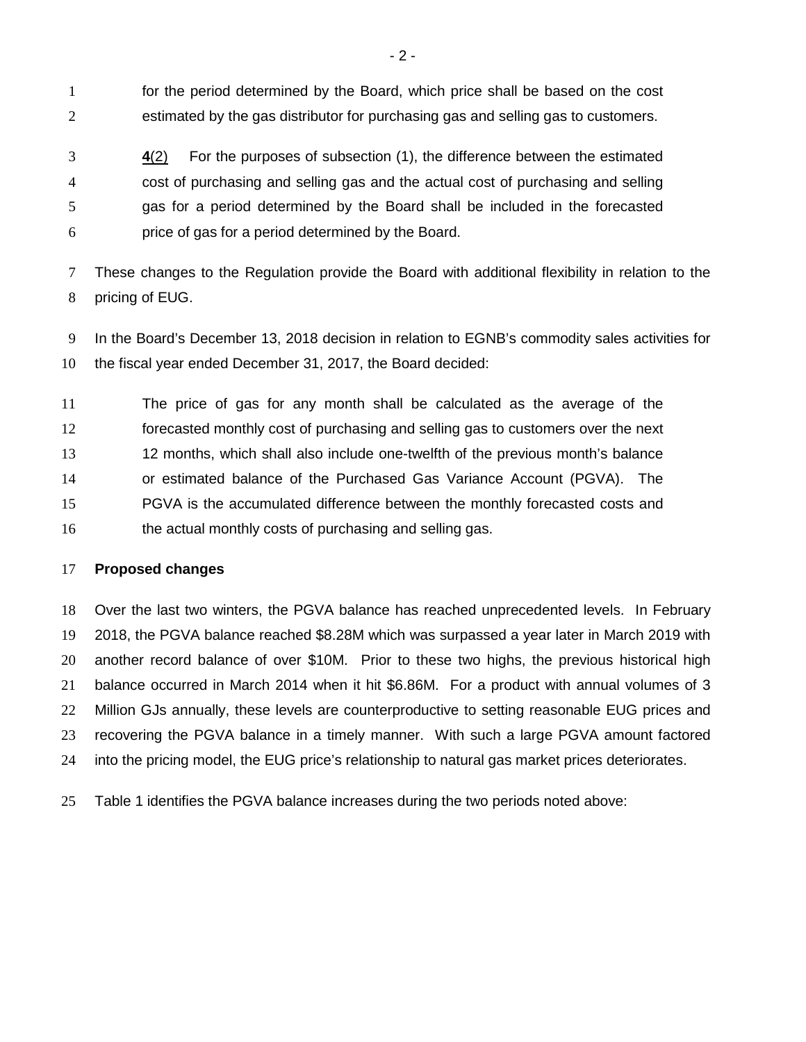for the period determined by the Board, which price shall be based on the cost estimated by the gas distributor for purchasing gas and selling gas to customers.

 **4**[\(2\)](javascript:displayOtherLang() For the purposes of subsection (1), the difference between the estimated cost of purchasing and selling gas and the actual cost of purchasing and selling gas for a period determined by the Board shall be included in the forecasted price of gas for a period determined by the Board.

 These changes to the Regulation provide the Board with additional flexibility in relation to the pricing of EUG.

 In the Board's December 13, 2018 decision in relation to EGNB's commodity sales activities for the fiscal year ended December 31, 2017, the Board decided:

 The price of gas for any month shall be calculated as the average of the forecasted monthly cost of purchasing and selling gas to customers over the next 12 months, which shall also include one-twelfth of the previous month's balance or estimated balance of the Purchased Gas Variance Account (PGVA). The PGVA is the accumulated difference between the monthly forecasted costs and 16 the actual monthly costs of purchasing and selling gas.

## **Proposed changes**

 Over the last two winters, the PGVA balance has reached unprecedented levels. In February 2018, the PGVA balance reached \$8.28M which was surpassed a year later in March 2019 with another record balance of over \$10M. Prior to these two highs, the previous historical high balance occurred in March 2014 when it hit \$6.86M. For a product with annual volumes of 3 Million GJs annually, these levels are counterproductive to setting reasonable EUG prices and recovering the PGVA balance in a timely manner. With such a large PGVA amount factored into the pricing model, the EUG price's relationship to natural gas market prices deteriorates.

Table 1 identifies the PGVA balance increases during the two periods noted above: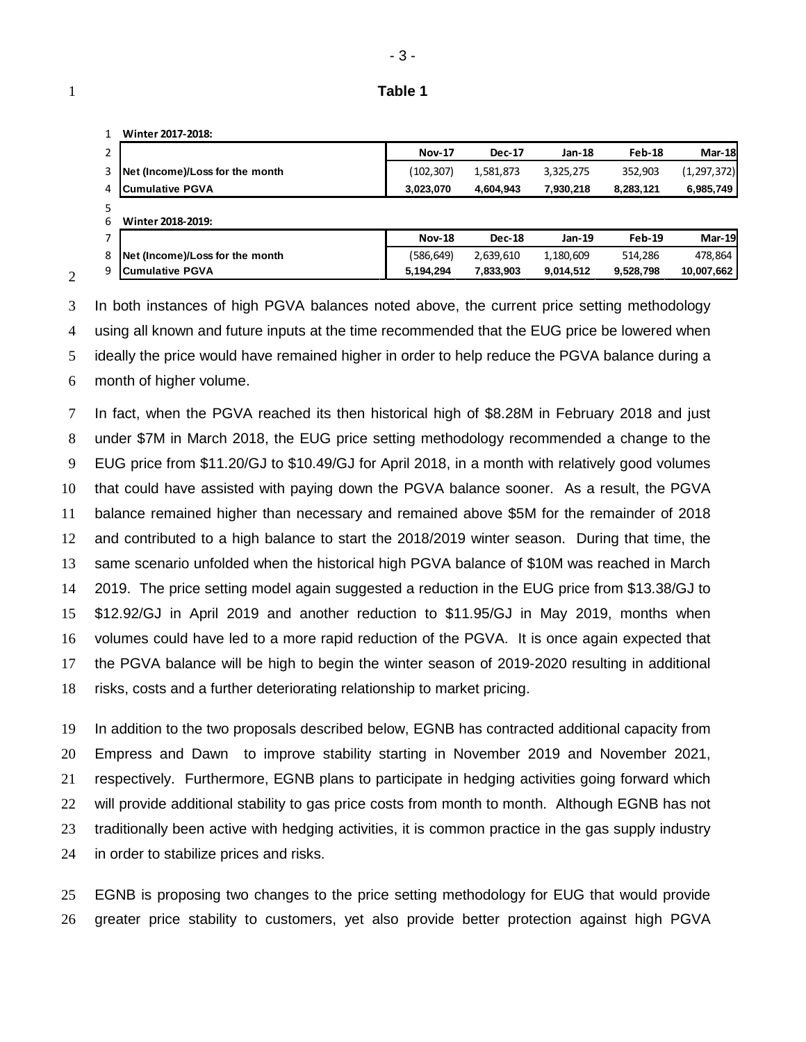| Table 1 |
|---------|
|         |

|   | Winter 2017-2018:               |               |               |           |               |               |
|---|---------------------------------|---------------|---------------|-----------|---------------|---------------|
|   |                                 | <b>Nov-17</b> | <b>Dec-17</b> | Jan-18    | Feb-18        | <b>Mar-18</b> |
| 3 | Net (Income)/Loss for the month | (102, 307)    | 1,581,873     | 3,325,275 | 352,903       | (1, 297, 372) |
| 4 | <b>Cumulative PGVA</b>          | 3,023,070     | 4,604,943     | 7,930,218 | 8,283,121     | 6,985,749     |
|   |                                 |               |               |           |               |               |
| 6 | Winter 2018-2019:               |               |               |           |               |               |
|   |                                 | <b>Nov-18</b> | <b>Dec-18</b> | Jan-19    | <b>Feb-19</b> | <b>Mar-19</b> |
| 8 | Net (Income)/Loss for the month | (586, 649)    | 2,639,610     | 1,180,609 | 514,286       | 478,864       |
| 9 | <b>Cumulative PGVA</b>          | 5,194,294     | 7,833,903     | 9,014,512 | 9,528,798     | 10,007,662    |

 In both instances of high PGVA balances noted above, the current price setting methodology using all known and future inputs at the time recommended that the EUG price be lowered when ideally the price would have remained higher in order to help reduce the PGVA balance during a month of higher volume.

 In fact, when the PGVA reached its then historical high of \$8.28M in February 2018 and just under \$7M in March 2018, the EUG price setting methodology recommended a change to the EUG price from \$11.20/GJ to \$10.49/GJ for April 2018, in a month with relatively good volumes that could have assisted with paying down the PGVA balance sooner. As a result, the PGVA balance remained higher than necessary and remained above \$5M for the remainder of 2018 and contributed to a high balance to start the 2018/2019 winter season. During that time, the same scenario unfolded when the historical high PGVA balance of \$10M was reached in March 2019. The price setting model again suggested a reduction in the EUG price from \$13.38/GJ to \$12.92/GJ in April 2019 and another reduction to \$11.95/GJ in May 2019, months when volumes could have led to a more rapid reduction of the PGVA. It is once again expected that the PGVA balance will be high to begin the winter season of 2019-2020 resulting in additional risks, costs and a further deteriorating relationship to market pricing.

 In addition to the two proposals described below, EGNB has contracted additional capacity from Empress and Dawn to improve stability starting in November 2019 and November 2021, respectively. Furthermore, EGNB plans to participate in hedging activities going forward which 22 will provide additional stability to gas price costs from month to month. Although EGNB has not traditionally been active with hedging activities, it is common practice in the gas supply industry in order to stabilize prices and risks.

 EGNB is proposing two changes to the price setting methodology for EUG that would provide greater price stability to customers, yet also provide better protection against high PGVA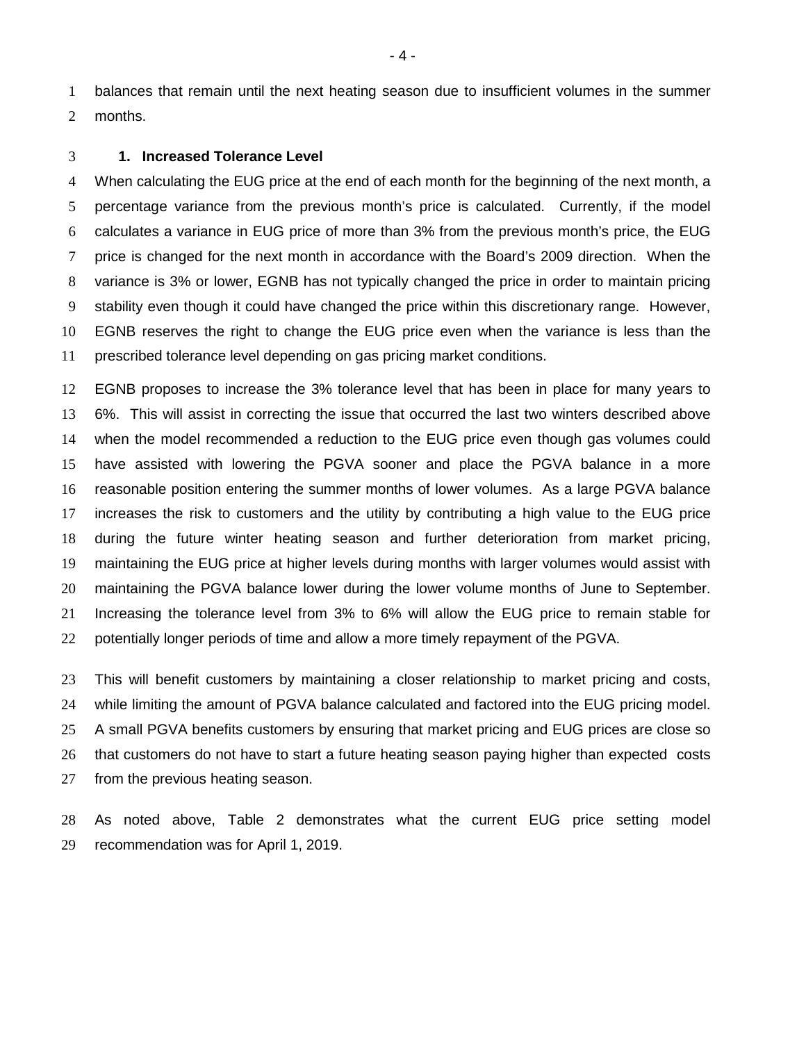balances that remain until the next heating season due to insufficient volumes in the summer months.

#### **1. Increased Tolerance Level**

 When calculating the EUG price at the end of each month for the beginning of the next month, a percentage variance from the previous month's price is calculated. Currently, if the model calculates a variance in EUG price of more than 3% from the previous month's price, the EUG price is changed for the next month in accordance with the Board's 2009 direction. When the variance is 3% or lower, EGNB has not typically changed the price in order to maintain pricing stability even though it could have changed the price within this discretionary range. However, EGNB reserves the right to change the EUG price even when the variance is less than the prescribed tolerance level depending on gas pricing market conditions.

 EGNB proposes to increase the 3% tolerance level that has been in place for many years to 6%. This will assist in correcting the issue that occurred the last two winters described above when the model recommended a reduction to the EUG price even though gas volumes could have assisted with lowering the PGVA sooner and place the PGVA balance in a more reasonable position entering the summer months of lower volumes. As a large PGVA balance increases the risk to customers and the utility by contributing a high value to the EUG price during the future winter heating season and further deterioration from market pricing, maintaining the EUG price at higher levels during months with larger volumes would assist with maintaining the PGVA balance lower during the lower volume months of June to September. Increasing the tolerance level from 3% to 6% will allow the EUG price to remain stable for potentially longer periods of time and allow a more timely repayment of the PGVA.

 This will benefit customers by maintaining a closer relationship to market pricing and costs, while limiting the amount of PGVA balance calculated and factored into the EUG pricing model. A small PGVA benefits customers by ensuring that market pricing and EUG prices are close so that customers do not have to start a future heating season paying higher than expected costs from the previous heating season.

 As noted above, Table 2 demonstrates what the current EUG price setting model recommendation was for April 1, 2019.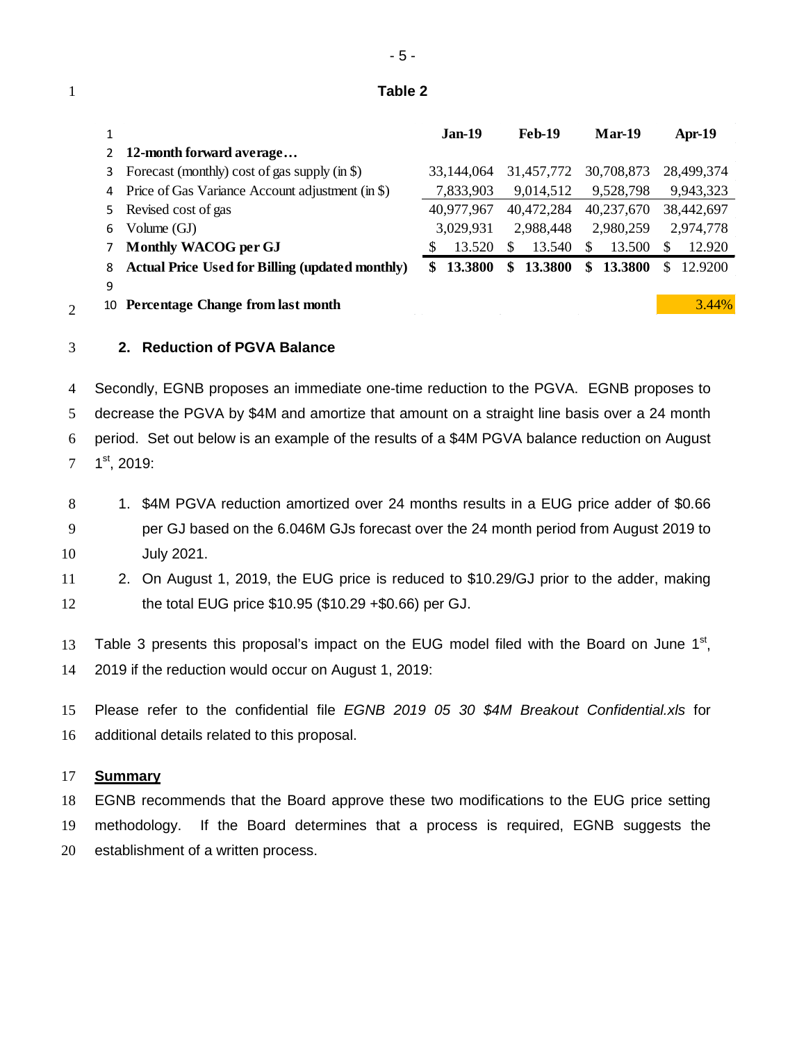## **Table 2**

| 1  |                                                        | $Jan-19$       | <b>Feb-19</b> | <b>Mar-19</b> | Apr-19        |
|----|--------------------------------------------------------|----------------|---------------|---------------|---------------|
| 2  | 12-month forward average                               |                |               |               |               |
| 3  | Forecast (monthly) cost of gas supply $(in $)$         | 33,144,064     | 31,457,772    | 30,708,873    | 28,499,374    |
| 4  | Price of Gas Variance Account adjustment (in \$)       | 7,833,903      | 9,014,512     | 9,528,798     | 9,943,323     |
| 5. | Revised cost of gas                                    | 40,977,967     | 40,472,284    | 40,237,670    | 38,442,697    |
| 6  | Volume $(GJ)$                                          | 3,029,931      | 2,988,448     | 2,980,259     | 2,974,778     |
|    | Monthly WACOG per GJ                                   | 13.520         | 13.540<br>S.  | 13.500<br>S   | 12.920<br>S   |
| 8  | <b>Actual Price Used for Billing (updated monthly)</b> | 13.3800<br>\$. | 13.3800<br>\$ | 13.3800<br>\$ | 12.9200<br>\$ |
| 9  |                                                        |                |               |               |               |
| 10 | <b>Percentage Change from last month</b>               |                |               |               | 3.44%         |
|    |                                                        |                |               |               |               |

## **2. Reduction of PGVA Balance**

 Secondly, EGNB proposes an immediate one-time reduction to the PGVA. EGNB proposes to decrease the PGVA by \$4M and amortize that amount on a straight line basis over a 24 month period. Set out below is an example of the results of a \$4M PGVA balance reduction on August  $7 \quad 1^{st}$ , 2019:

- 8 1. \$4M PGVA reduction amortized over 24 months results in a EUG price adder of \$0.66 per GJ based on the 6.046M GJs forecast over the 24 month period from August 2019 to July 2021.
- 2. On August 1, 2019, the EUG price is reduced to \$10.29/GJ prior to the adder, making the total EUG price \$10.95 (\$10.29 +\$0.66) per GJ.

13 Table 3 presents this proposal's impact on the EUG model filed with the Board on June  $1<sup>st</sup>$ , 2019 if the reduction would occur on August 1, 2019:

 Please refer to the confidential file *EGNB 2019 05 30 \$4M Breakout Confidential.xls* for additional details related to this proposal.

### **Summary**

 EGNB recommends that the Board approve these two modifications to the EUG price setting methodology. If the Board determines that a process is required, EGNB suggests the establishment of a written process.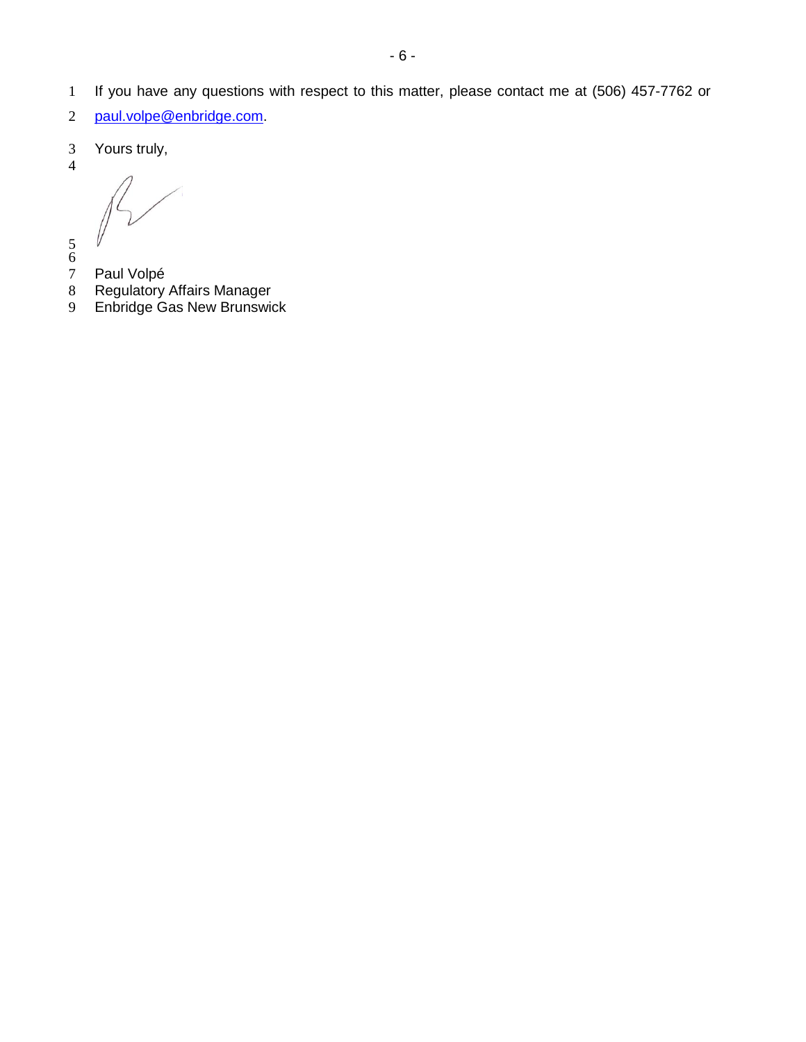- If you have any questions with respect to this matter, please contact me at (506) 457-7762 or
- [paul.volpe@enbridge.com.](mailto:paul.volpe@enbridge.com)
- Yours truly,
- 

- 
- 
- 7 Paul Volpé<br>8 Regulatory Regulatory Affairs Manager
- Enbridge Gas New Brunswick